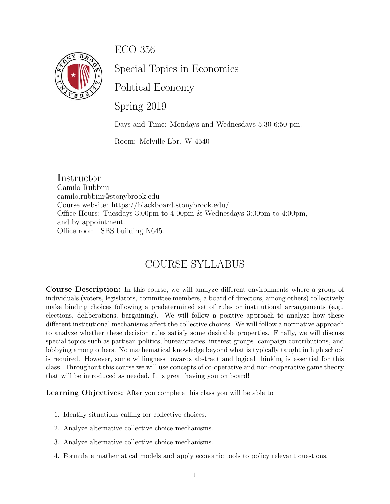ECO 356



Special Topics in Economics

Political Economy

Spring 2019

Days and Time: Mondays and Wednesdays 5:30-6:50 pm.

Room: Melville Lbr. W 4540

Instructor Camilo Rubbini camilo.rubbini@stonybrook.edu Course website: https://blackboard.stonybrook.edu/ Office Hours: Tuesdays 3:00pm to 4:00pm & Wednesdays 3:00pm to 4:00pm, and by appointment. Office room: SBS building N645.

# COURSE SYLLABUS

Course Description: In this course, we will analyze different environments where a group of individuals (voters, legislators, committee members, a board of directors, among others) collectively make binding choices following a predetermined set of rules or institutional arrangements (e.g., elections, deliberations, bargaining). We will follow a positive approach to analyze how these different institutional mechanisms affect the collective choices. We will follow a normative approach to analyze whether these decision rules satisfy some desirable properties. Finally, we will discuss special topics such as partisan politics, bureaucracies, interest groups, campaign contributions, and lobbying among others. No mathematical knowledge beyond what is typically taught in high school is required. However, some willingness towards abstract and logical thinking is essential for this class. Throughout this course we will use concepts of co-operative and non-cooperative game theory that will be introduced as needed. It is great having you on board!

Learning Objectives: After you complete this class you will be able to

- 1. Identify situations calling for collective choices.
- 2. Analyze alternative collective choice mechanisms.
- 3. Analyze alternative collective choice mechanisms.
- 4. Formulate mathematical models and apply economic tools to policy relevant questions.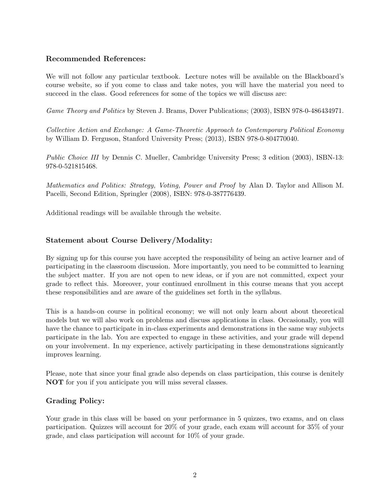#### Recommended References:

We will not follow any particular textbook. Lecture notes will be available on the Blackboard's course website, so if you come to class and take notes, you will have the material you need to succeed in the class. Good references for some of the topics we will discuss are:

Game Theory and Politics by Steven J. Brams, Dover Publications; (2003), ISBN 978-0-486434971.

Collective Action and Exchange: A Game-Theoretic Approach to Contemporary Political Economy by William D. Ferguson, Stanford University Press; (2013), ISBN 978-0-804770040.

Public Choice III by Dennis C. Mueller, Cambridge University Press; 3 edition (2003), ISBN-13: 978-0-521815468.

Mathematics and Politics: Strategy, Voting, Power and Proof by Alan D. Taylor and Allison M. Pacelli, Second Edition, Springler (2008), ISBN: 978-0-387776439.

Additional readings will be available through the website.

### Statement about Course Delivery/Modality:

By signing up for this course you have accepted the responsibility of being an active learner and of participating in the classroom discussion. More importantly, you need to be committed to learning the subject matter. If you are not open to new ideas, or if you are not committed, expect your grade to reflect this. Moreover, your continued enrollment in this course means that you accept these responsibilities and are aware of the guidelines set forth in the syllabus.

This is a hands-on course in political economy; we will not only learn about about theoretical models but we will also work on problems and discuss applications in class. Occasionally, you will have the chance to participate in in-class experiments and demonstrations in the same way subjects participate in the lab. You are expected to engage in these activities, and your grade will depend on your involvement. In my experience, actively participating in these demonstrations signicantly improves learning.

Please, note that since your final grade also depends on class participation, this course is denitely NOT for you if you anticipate you will miss several classes.

## Grading Policy:

Your grade in this class will be based on your performance in 5 quizzes, two exams, and on class participation. Quizzes will account for 20% of your grade, each exam will account for 35% of your grade, and class participation will account for 10% of your grade.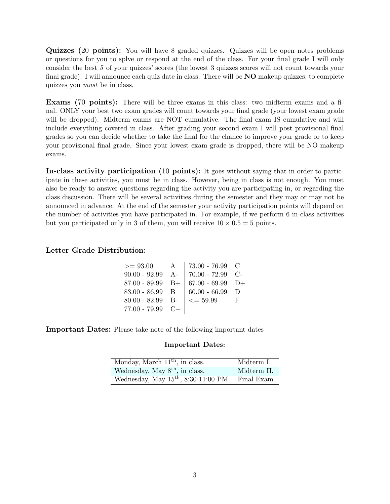Quizzes (20 points): You will have 8 graded quizzes. Quizzes will be open notes problems or questions for you to splve or respond at the end of the class. For your final grade I will only consider the best 5 of your quizzes' scores (the lowest 3 quizzes scores will not count towards your final grade). I will announce each quiz date in class. There will be **NO** makeup quizzes; to complete quizzes you must be in class.

Exams (70 points): There will be three exams in this class: two midterm exams and a final. ONLY your best two exam grades will count towards your final grade (your lowest exam grade will be dropped). Midterm exams are NOT cumulative. The final exam IS cumulative and will include everything covered in class. After grading your second exam I will post provisional final grades so you can decide whether to take the final for the chance to improve your grade or to keep your provisional final grade. Since your lowest exam grade is dropped, there will be NO makeup exams.

In-class activity participation (10 points): It goes without saying that in order to participate in these activities, you must be in class. However, being in class is not enough. You must also be ready to answer questions regarding the activity you are participating in, or regarding the class discussion. There will be several activities during the semester and they may or may not be announced in advance. At the end of the semester your activity participation points will depend on the number of activities you have participated in. For example, if we perform 6 in-class activities but you participated only in 3 of them, you will receive  $10 \times 0.5 = 5$  points.

#### Letter Grade Distribution:

|                    | $> = 93.00$ A   73.00 - 76.99 C                  |  |
|--------------------|--------------------------------------------------|--|
|                    | 90.00 - 92.99 A-   70.00 - 72.99 C-              |  |
|                    | 87.00 - 89.99 B+ $\vert$ 67.00 - 69.99 D+        |  |
|                    | 83.00 - 86.99 B $\parallel$ 60.00 - 66.99 D      |  |
|                    | 80.00 - 82.99 B- $\vert \langle = 59.99 \vert$ F |  |
| $77.00 - 79.99$ C+ |                                                  |  |

Important Dates: Please take note of the following important dates

#### Important Dates:

| Monday, March $11th$ , in class.       | Midterm I.  |
|----------------------------------------|-------------|
| Wednesday, May $8th$ , in class.       | Midterm II. |
| Wednesday, May $15th$ , 8:30-11:00 PM. | Final Exam. |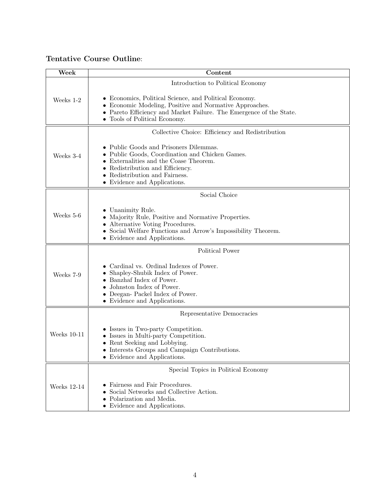## Tentative Course Outline:

| Week          | Content                                                                                                                                                                                                                                           |
|---------------|---------------------------------------------------------------------------------------------------------------------------------------------------------------------------------------------------------------------------------------------------|
|               | Introduction to Political Economy                                                                                                                                                                                                                 |
| Weeks 1-2     | • Economics, Political Science, and Political Economy.<br>• Economic Modeling, Positive and Normative Approaches.<br>• Pareto Efficiency and Market Failure. The Emergence of the State.<br>• Tools of Political Economy.                         |
|               | Collective Choice: Efficiency and Redistribution                                                                                                                                                                                                  |
| Weeks 3-4     | • Public Goods and Prisoners Dilemmas.<br>• Public Goods, Coordination and Chicken Games.<br>$\bullet$ Externalities and the Coase Theorem.<br>• Redistribution and Efficiency.<br>• Redistribution and Fairness.<br>• Evidence and Applications. |
|               | Social Choice                                                                                                                                                                                                                                     |
| Weeks 5-6     | • Unanimity Rule.<br>• Majority Rule, Positive and Normative Properties.<br>• Alternative Voting Procedures.<br>• Social Welfare Functions and Arrow's Impossibility Theorem.<br>• Evidence and Applications.                                     |
|               | Political Power                                                                                                                                                                                                                                   |
| Weeks 7-9     | Cardinal vs. Ordinal Indexes of Power.<br>Shapley-Shubik Index of Power.<br>• Banzhaf Index of Power.<br>Johnston Index of Power.<br>• Deegan- Packel Index of Power.<br>$\bullet~$ Evidence and Applications.                                    |
|               | Representative Democracies                                                                                                                                                                                                                        |
| Weeks $10-11$ | • Issues in Two-party Competition.<br>• Issues in Multi-party Competition.<br>• Rent Seeking and Lobbying.<br>$\bullet~$ Interests Groups and Campaign Contributions.<br>• Evidence and Applications.                                             |
|               | Special Topics in Political Economy                                                                                                                                                                                                               |
| Weeks 12-14   | Fairness and Fair Procedures.<br>Social Networks and Collective Action.<br>• Polarization and Media.<br>• Evidence and Applications.                                                                                                              |